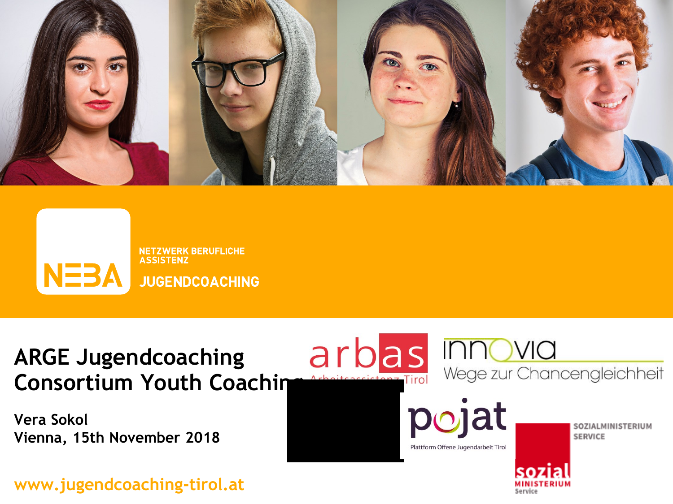



## **ARGE Jugendcoaching Consortium Youth Coaching**

**Vera Sokol Vienna, 15th November 2018**

**www.jugendcoaching-tirol.at**



Plattform Offene Jugendarbeit Tirol

SOZIALMINISTERIUM **SERVICE** 

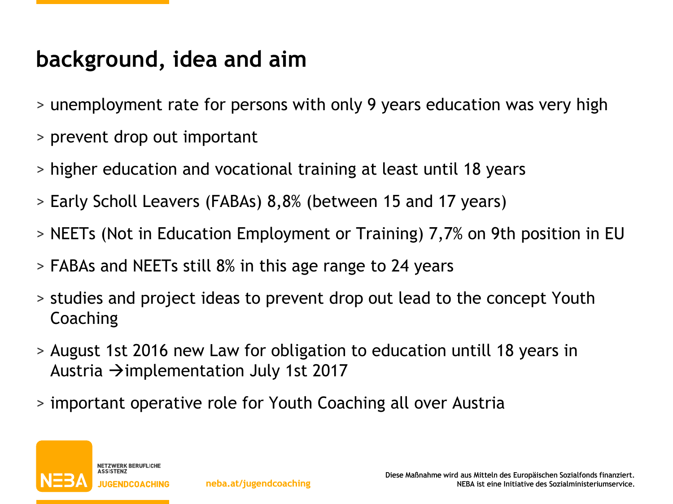#### **background, idea and aim**

- > unemployment rate for persons with only 9 years education was very high
- > prevent drop out important
- > higher education and vocational training at least until 18 years
- > Early Scholl Leavers (FABAs) 8,8% (between 15 and 17 years)
- > NEETs (Not in Education Employment or Training) 7,7% on 9th position in EU
- > FABAs and NEETs still 8% in this age range to 24 years
- > studies and project ideas to prevent drop out lead to the concept Youth **Coaching**
- > August 1st 2016 new Law for obligation to education untill 18 years in Austria  $\rightarrow$  implementation July 1st 2017
- > important operative role for Youth Coaching all over Austria

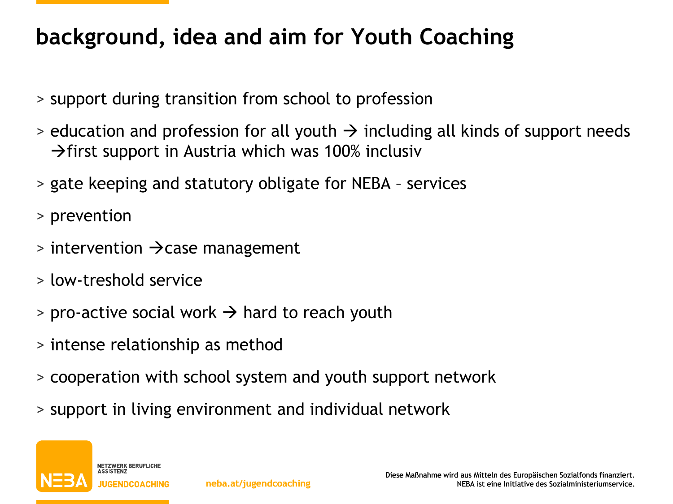# **background, idea and aim for Youth Coaching**

- > support during transition from school to profession
- $>$  education and profession for all youth  $\rightarrow$  including all kinds of support needs  $\rightarrow$  first support in Austria which was 100% inclusiv
- > gate keeping and statutory obligate for NEBA services
- > prevention
- $>$  intervention  $\rightarrow$  case management
- > low-treshold service
- $>$  pro-active social work  $\rightarrow$  hard to reach youth
- > intense relationship as method
- > cooperation with school system and youth support network
- > support in living environment and individual network

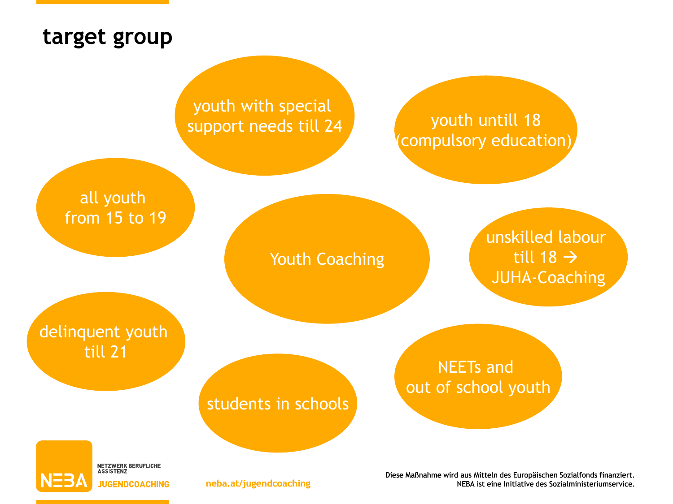#### **target group**

youth untill 18 compulsory education)

#### youth with special support needs till 24

all youth from 15 to 19

Youth Coaching

unskilled labour till 18  $\rightarrow$ JUHA-Coaching

delinquent youth till 21

> **NETZWERK BERUFLICHE**<br>ASSISTENZ **JUGENDCOACHING**

#### students in schools

NEETs and out of school youth

Diese Maßnahme wird aus Mitteln des Europäischen Sozialfonds finanziert. **neba.at/jugendcoaching** NEBA ist eine Initiative des Sozialministeriumservice.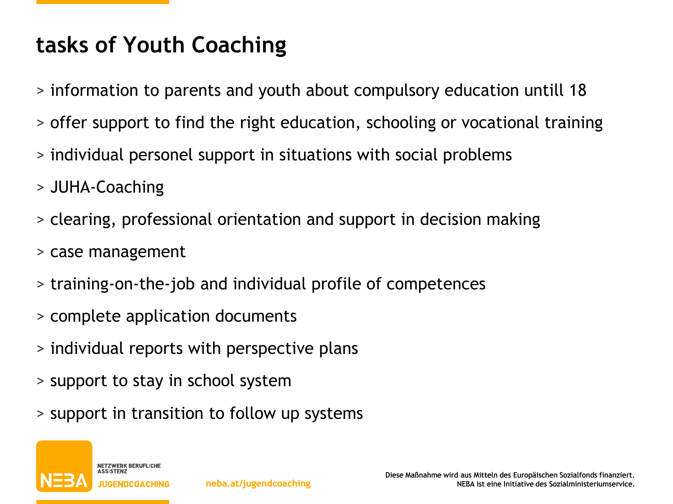## **tasks of Youth Coaching**

- > information to parents and youth about compulsory education untill 18
- > offer support to find the right education, schooling or vocational training
- > individual personel support in situations with social problems
- > JUHA-Coaching
- > clearing, professional orientation and support in decision making
- > case management
- > training-on-the-job and individual profile of competences
- > complete application documents
- > individual reports with perspective plans
- > support to stay in school system
- > support in transition to follow up systems

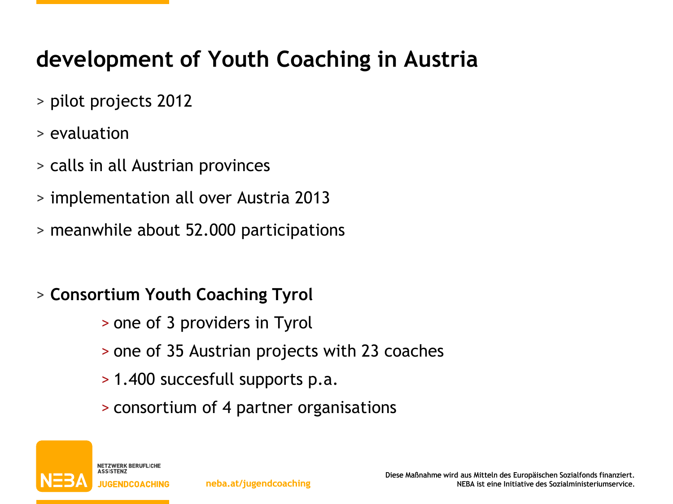## **development of Youth Coaching in Austria**

- > pilot projects 2012
- > evaluation
- > calls in all Austrian provinces
- > implementation all over Austria 2013
- > meanwhile about 52.000 participations
- > **Consortium Youth Coaching Tyrol**
	- > one of 3 providers in Tyrol
	- > one of 35 Austrian projects with 23 coaches
	- > 1.400 succesfull supports p.a.
	- > consortium of 4 partner organisations

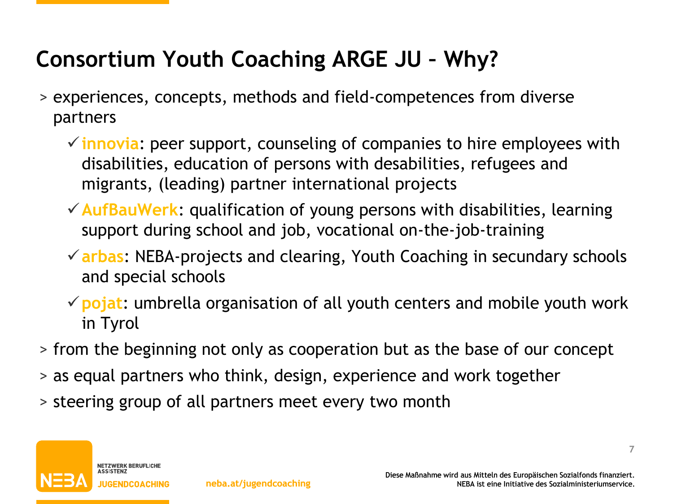## **Consortium Youth Coaching ARGE JU – Why?**

- > experiences, concepts, methods and field-competences from diverse partners
	- **innovia**: peer support, counseling of companies to hire employees with disabilities, education of persons with desabilities, refugees and migrants, (leading) partner international projects
	- **AufBauWerk**: qualification of young persons with disabilities, learning support during school and job, vocational on-the-job-training
	- **arbas**: NEBA-projects and clearing, Youth Coaching in secundary schools and special schools
	- **pojat**: umbrella organisation of all youth centers and mobile youth work in Tyrol
- > from the beginning not only as cooperation but as the base of our concept
- > as equal partners who think, design, experience and work together
- > steering group of all partners meet every two month

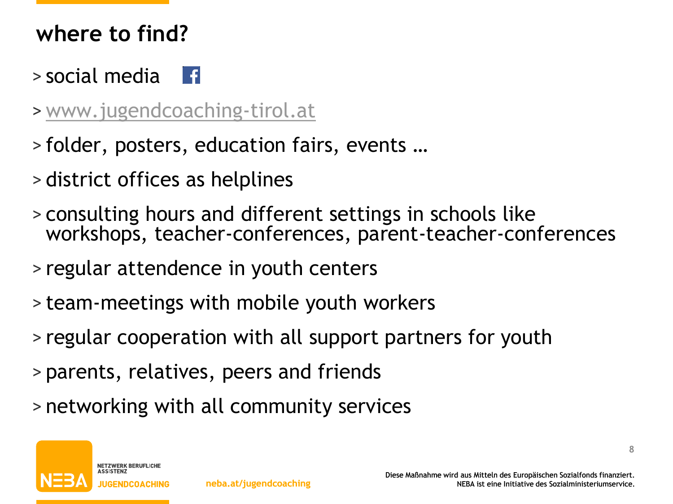### **where to find?**

- > social media
- > [www.jugendcoaching-tirol.at](http://www.jugendcoaching-tirol.at/)
- > folder, posters, education fairs, events …
- > district offices as helplines
- > consulting hours and different settings in schools like workshops, teacher-conferences, parent-teacher-conferences
- > regular attendence in youth centers
- > team-meetings with mobile youth workers
- > regular cooperation with all support partners for youth
- > parents, relatives, peers and friends
- > networking with all community services

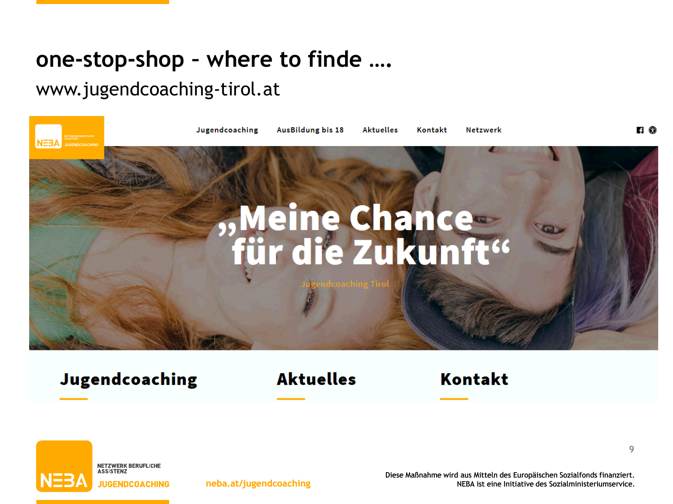### **one-stop-shop – where to finde ….**

#### www.jugendcoaching-tirol.at



Jugendcoaching

**Aktuelles** 

**Kontakt** 



Diese Maßnahme wird aus Mitteln des Europäischen Sozialfonds finanziert. **neba.at/jugendcoaching** NEBA ist eine Initiative des Sozialministeriumservice.

**9**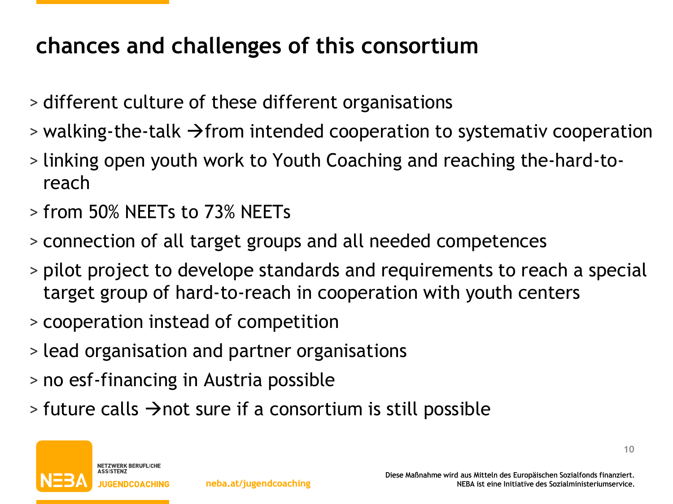## **chances and challenges of this consortium**

- > different culture of these different organisations
- $\ge$  walking-the-talk  $\rightarrow$  from intended cooperation to systemativ cooperation
- > linking open youth work to Youth Coaching and reaching the-hard-toreach
- > from 50% NEETs to 73% NEETs
- > connection of all target groups and all needed competences
- > pilot project to develope standards and requirements to reach a special target group of hard-to-reach in cooperation with youth centers
- > cooperation instead of competition
- > lead organisation and partner organisations
- > no esf-financing in Austria possible
- $\rightarrow$  future calls  $\rightarrow$  not sure if a consortium is still possible